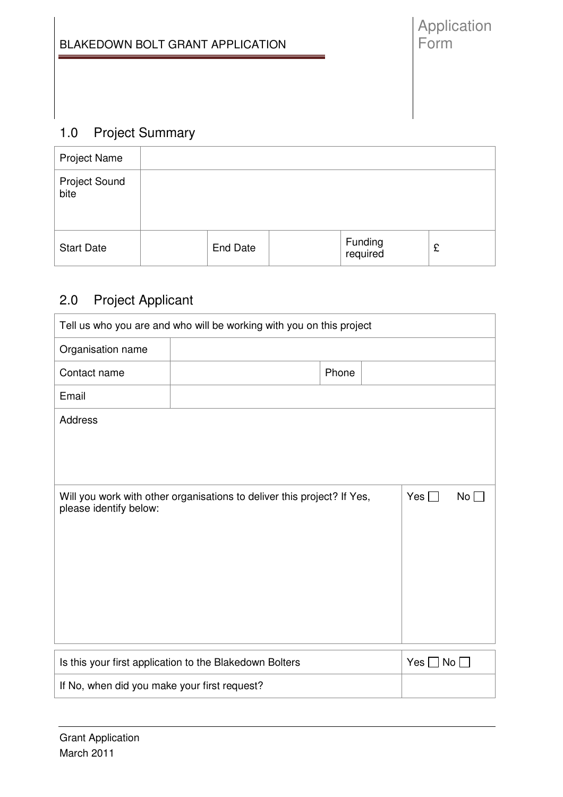# 1.0 Project Summary

| <b>Project Name</b>   |                 |                     |   |
|-----------------------|-----------------|---------------------|---|
| Project Sound<br>bite |                 |                     |   |
| <b>Start Date</b>     | <b>End Date</b> | Funding<br>required | £ |

# 2.0 Project Applicant

|                                                                                                   | Tell us who you are and who will be working with you on this project |                               |                      |
|---------------------------------------------------------------------------------------------------|----------------------------------------------------------------------|-------------------------------|----------------------|
| Organisation name                                                                                 |                                                                      |                               |                      |
| Contact name                                                                                      |                                                                      | Phone                         |                      |
| Email                                                                                             |                                                                      |                               |                      |
| <b>Address</b>                                                                                    |                                                                      |                               |                      |
| Will you work with other organisations to deliver this project? If Yes,<br>please identify below: |                                                                      | Yes $\Box$<br>No <sub>1</sub> |                      |
|                                                                                                   | Is this your first application to the Blakedown Bolters              |                               | Yes $\Box$ No $\Box$ |
| If No, when did you make your first request?                                                      |                                                                      |                               |                      |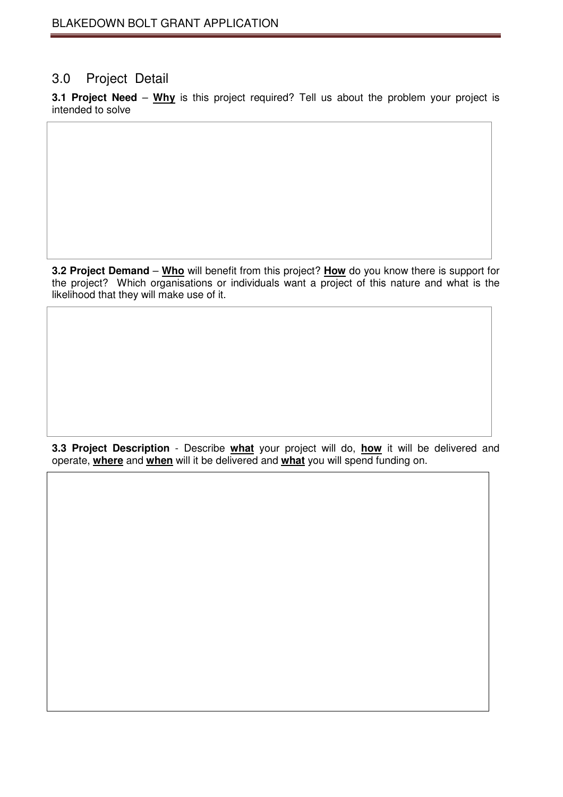### 3.0 Project Detail

**3.1 Project Need** – Why is this project required? Tell us about the problem your project is intended to solve

**3.2 Project Demand** – **Who** will benefit from this project? **How** do you know there is support for the project? Which organisations or individuals want a project of this nature and what is the likelihood that they will make use of it.

**3.3 Project Description** - Describe **what** your project will do, **how** it will be delivered and operate, **where** and **when** will it be delivered and **what** you will spend funding on.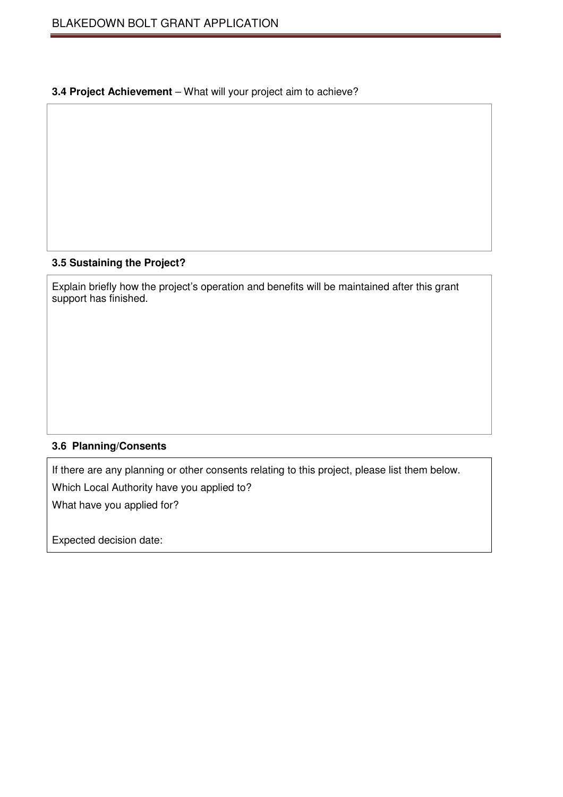**3.4 Project Achievement** – What will your project aim to achieve?

#### **3.5 Sustaining the Project?**

Explain briefly how the project's operation and benefits will be maintained after this grant support has finished.

#### **3.6 Planning/Consents**

If there are any planning or other consents relating to this project, please list them below. Which Local Authority have you applied to? What have you applied for?

Expected decision date: